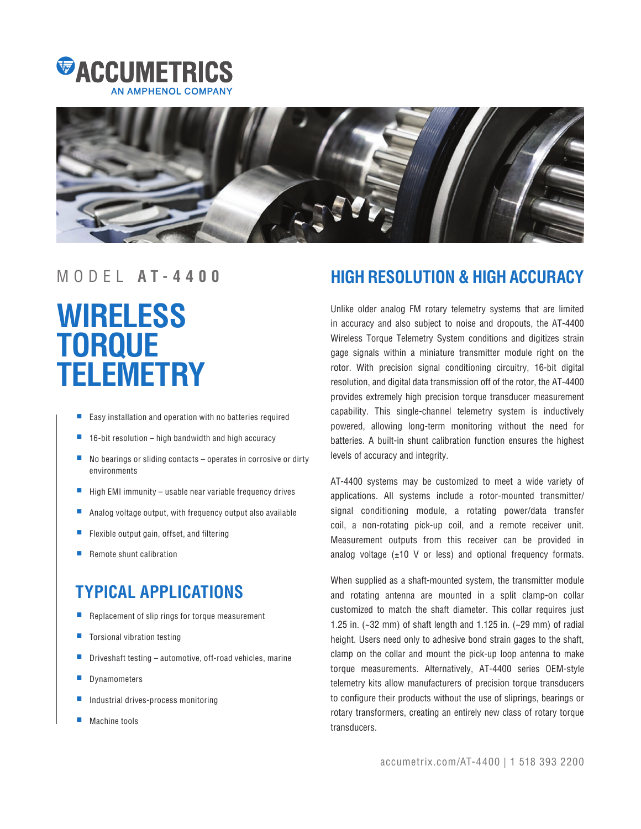



# **WIRELESS TORQUE TELEMETRY**

- Easy installation and operation with no batteries required
- $16$ -bit resolution high bandwidth and high accuracy
- No bearings or sliding contacts  $-$  operates in corrosive or dirty environments
- $\blacksquare$  High EMI immunity usable near variable frequency drives
- Analog voltage output, with frequency output also available
- Flexible output gain, offset, and filtering
- Remote shunt calibration

# **TYPICAL APPLICATIONS**

- Replacement of slip rings for torque measurement
- Torsional vibration testing
- Driveshaft testing automotive, off-road vehicles, marine
- **Dynamometers**
- Industrial drives-process monitoring
- Machine tools

# MODEL **A T - 4 4 0 0 HIGH RESOLUTION & HIGH ACCURACY**

Unlike older analog FM rotary telemetry systems that are limited in accuracy and also subject to noise and dropouts, the AT-4400 Wireless Torque Telemetry System conditions and digitizes strain gage signals within a miniature transmitter module right on the rotor. With precision signal conditioning circuitry, 16-bit digital resolution, and digital data transmission off of the rotor, the AT-4400 provides extremely high precision torque transducer measurement capability. This single-channel telemetry system is inductively powered, allowing long-term monitoring without the need for batteries. A built-in shunt calibration function ensures the highest levels of accuracy and integrity.

AT-4400 systems may be customized to meet a wide variety of applications. All systems include a rotor-mounted transmitter/ signal conditioning module, a rotating power/data transfer coil, a non-rotating pick-up coil, and a remote receiver unit. Measurement outputs from this receiver can be provided in analog voltage  $(\pm 10 \text{ V} \text{ or } \text{less})$  and optional frequency formats.

When supplied as a shaft-mounted system, the transmitter module and rotating antenna are mounted in a split clamp-on collar customized to match the shaft diameter. This collar requires just 1.25 in. (~32 mm) of shaft length and 1.125 in. (~29 mm) of radial height. Users need only to adhesive bond strain gages to the shaft, clamp on the collar and mount the pick-up loop antenna to make torque measurements. Alternatively, AT-4400 series OEM-style telemetry kits allow manufacturers of precision torque transducers to configure their products without the use of sliprings, bearings or rotary transformers, creating an entirely new class of rotary torque transducers.